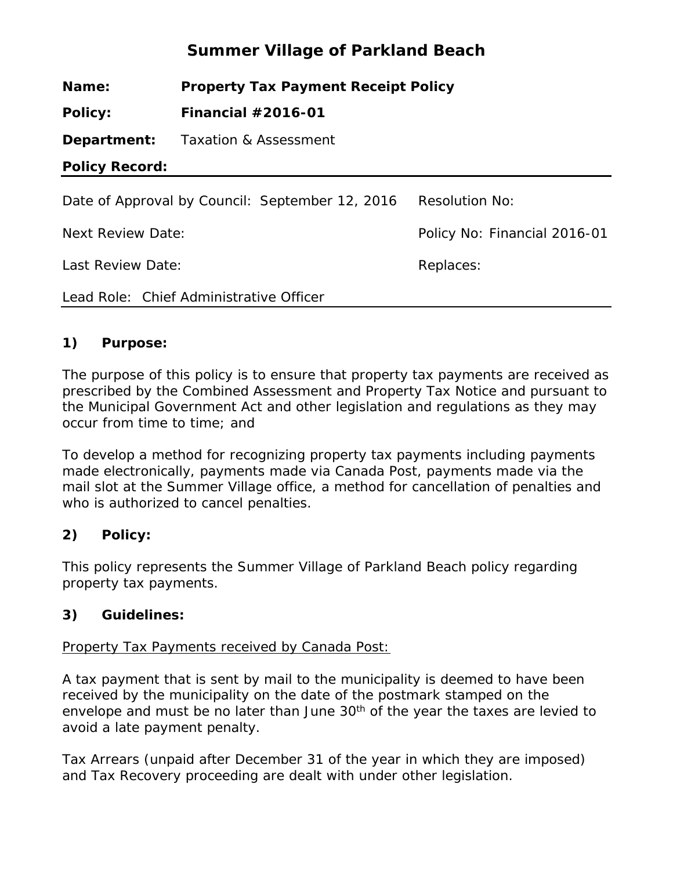# **Summer Village of Parkland Beach**

**Name: Property Tax Payment Receipt Policy**

**Policy: Financial #2016-01**

**Department:** Taxation & Assessment

**Policy Record:**

| Date of Approval by Council: September 12, 2016 | <b>Resolution No:</b>        |
|-------------------------------------------------|------------------------------|
| Next Review Date:                               | Policy No: Financial 2016-01 |
| Last Review Date:                               | Replaces:                    |
| Lead Role: Chief Administrative Officer         |                              |

# **1) Purpose:**

The purpose of this policy is to ensure that property tax payments are received as prescribed by the Combined Assessment and Property Tax Notice and pursuant to the Municipal Government Act and other legislation and regulations as they may occur from time to time; and

To develop a method for recognizing property tax payments including payments made electronically, payments made via Canada Post, payments made via the mail slot at the Summer Village office, a method for cancellation of penalties and who is authorized to cancel penalties.

# **2) Policy:**

This policy represents the Summer Village of Parkland Beach policy regarding property tax payments.

# **3) Guidelines:**

# Property Tax Payments received by Canada Post:

A tax payment that is sent by mail to the municipality is deemed to have been received by the municipality on the date of the postmark stamped on the envelope and must be no later than June 30<sup>th</sup> of the year the taxes are levied to avoid a late payment penalty.

Tax Arrears (unpaid after December 31 of the year in which they are imposed) and Tax Recovery proceeding are dealt with under other legislation.